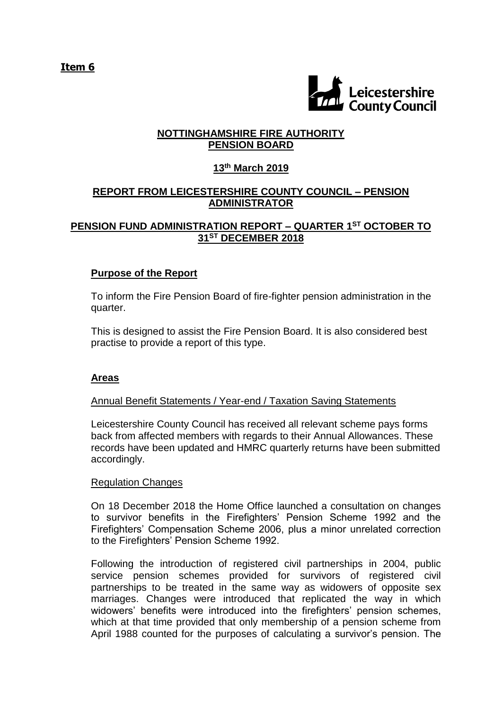**Item 6**



## **NOTTINGHAMSHIRE FIRE AUTHORITY PENSION BOARD**

# **13th March 2019**

# **REPORT FROM LEICESTERSHIRE COUNTY COUNCIL – PENSION ADMINISTRATOR**

## **PENSION FUND ADMINISTRATION REPORT – QUARTER 1 ST OCTOBER TO 31ST DECEMBER 2018**

## **Purpose of the Report**

To inform the Fire Pension Board of fire-fighter pension administration in the quarter.

This is designed to assist the Fire Pension Board. It is also considered best practise to provide a report of this type.

## **Areas**

## Annual Benefit Statements / Year-end / Taxation Saving Statements

Leicestershire County Council has received all relevant scheme pays forms back from affected members with regards to their Annual Allowances. These records have been updated and HMRC quarterly returns have been submitted accordingly.

## Regulation Changes

On 18 December 2018 the Home Office launched a consultation on changes to survivor benefits in the Firefighters' Pension Scheme 1992 and the Firefighters' Compensation Scheme 2006, plus a minor unrelated correction to the Firefighters' Pension Scheme 1992.

Following the introduction of registered civil partnerships in 2004, public service pension schemes provided for survivors of registered civil partnerships to be treated in the same way as widowers of opposite sex marriages. Changes were introduced that replicated the way in which widowers' benefits were introduced into the firefighters' pension schemes, which at that time provided that only membership of a pension scheme from April 1988 counted for the purposes of calculating a survivor's pension. The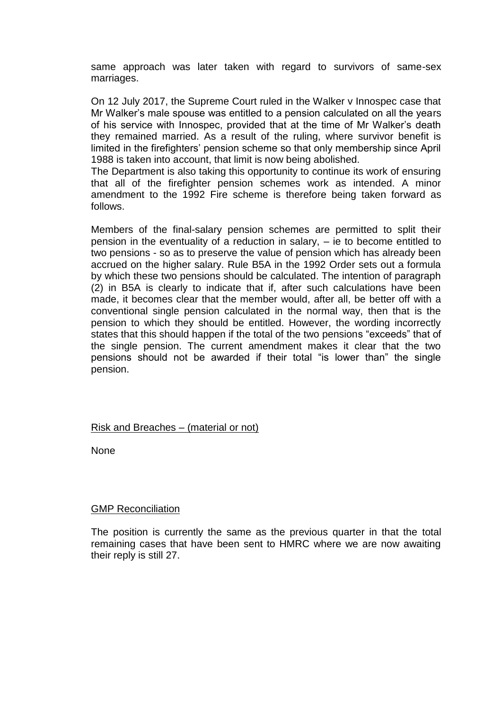same approach was later taken with regard to survivors of same-sex marriages.

On 12 July 2017, the Supreme Court ruled in the Walker v Innospec case that Mr Walker's male spouse was entitled to a pension calculated on all the years of his service with Innospec, provided that at the time of Mr Walker's death they remained married. As a result of the ruling, where survivor benefit is limited in the firefighters' pension scheme so that only membership since April 1988 is taken into account, that limit is now being abolished.

The Department is also taking this opportunity to continue its work of ensuring that all of the firefighter pension schemes work as intended. A minor amendment to the 1992 Fire scheme is therefore being taken forward as follows.

Members of the final-salary pension schemes are permitted to split their pension in the eventuality of a reduction in salary, – ie to become entitled to two pensions - so as to preserve the value of pension which has already been accrued on the higher salary. Rule B5A in the 1992 Order sets out a formula by which these two pensions should be calculated. The intention of paragraph (2) in B5A is clearly to indicate that if, after such calculations have been made, it becomes clear that the member would, after all, be better off with a conventional single pension calculated in the normal way, then that is the pension to which they should be entitled. However, the wording incorrectly states that this should happen if the total of the two pensions "exceeds" that of the single pension. The current amendment makes it clear that the two pensions should not be awarded if their total "is lower than" the single pension.

## Risk and Breaches – (material or not)

None

#### **GMP Reconciliation**

The position is currently the same as the previous quarter in that the total remaining cases that have been sent to HMRC where we are now awaiting their reply is still 27.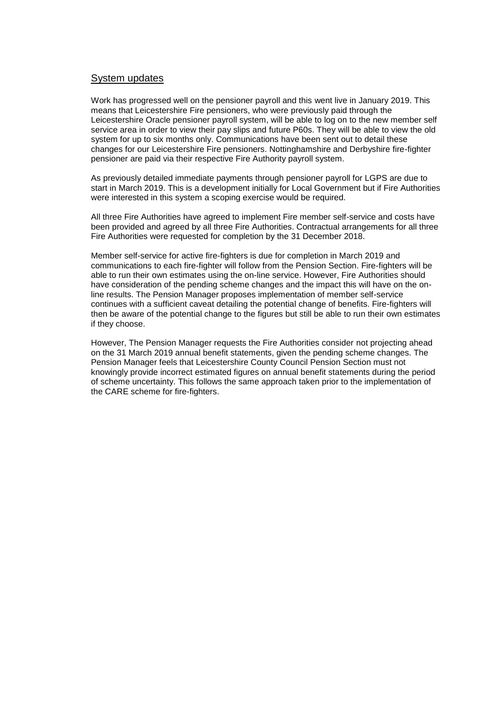#### System updates

Work has progressed well on the pensioner payroll and this went live in January 2019. This means that Leicestershire Fire pensioners, who were previously paid through the Leicestershire Oracle pensioner payroll system, will be able to log on to the new member self service area in order to view their pay slips and future P60s. They will be able to view the old system for up to six months only. Communications have been sent out to detail these changes for our Leicestershire Fire pensioners. Nottinghamshire and Derbyshire fire-fighter pensioner are paid via their respective Fire Authority payroll system.

As previously detailed immediate payments through pensioner payroll for LGPS are due to start in March 2019. This is a development initially for Local Government but if Fire Authorities were interested in this system a scoping exercise would be required.

All three Fire Authorities have agreed to implement Fire member self-service and costs have been provided and agreed by all three Fire Authorities. Contractual arrangements for all three Fire Authorities were requested for completion by the 31 December 2018.

Member self-service for active fire-fighters is due for completion in March 2019 and communications to each fire-fighter will follow from the Pension Section. Fire-fighters will be able to run their own estimates using the on-line service. However, Fire Authorities should have consideration of the pending scheme changes and the impact this will have on the online results. The Pension Manager proposes implementation of member self-service continues with a sufficient caveat detailing the potential change of benefits. Fire-fighters will then be aware of the potential change to the figures but still be able to run their own estimates if they choose.

However, The Pension Manager requests the Fire Authorities consider not projecting ahead on the 31 March 2019 annual benefit statements, given the pending scheme changes. The Pension Manager feels that Leicestershire County Council Pension Section must not knowingly provide incorrect estimated figures on annual benefit statements during the period of scheme uncertainty. This follows the same approach taken prior to the implementation of the CARE scheme for fire-fighters.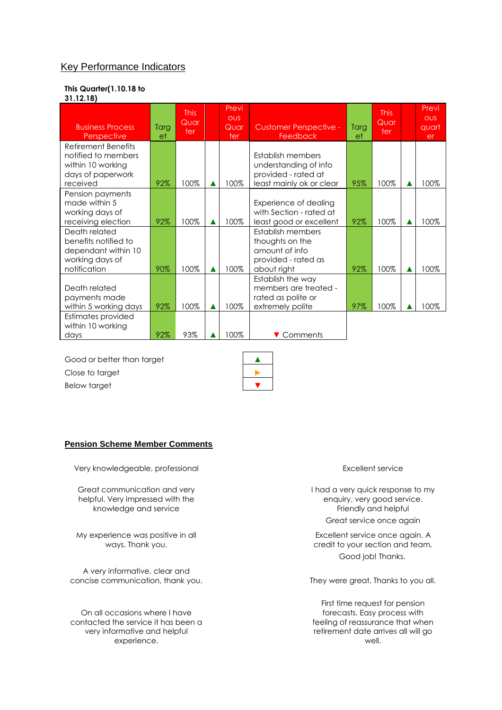## Key Performance Indicators

#### **This Quarter(1.10.18 to 31.12.18)**

| <b>Business Process</b><br>Perspective                                                                  | Targ<br>et | <b>This</b><br>Quar<br>ter | Previ<br><b>OUS</b><br>Quar<br>ter | <b>Customer Perspective -</b><br>Feedback                                                     | Targ<br>et | <b>This</b><br>Quar<br>ter | Previ<br><b>OUS</b><br>quart<br>er |
|---------------------------------------------------------------------------------------------------------|------------|----------------------------|------------------------------------|-----------------------------------------------------------------------------------------------|------------|----------------------------|------------------------------------|
| <b>Retirement Benefits</b><br>notified to members<br>within 10 working<br>days of paperwork<br>received | 92%        | 100%                       | 100%                               | Establish members<br>understanding of info<br>provided - rated at<br>least mainly ok or clear | 95%        | 100%                       | 100%                               |
| Pension payments<br>made within 5<br>working days of<br>receiving election                              | 92%        | 100%                       | 100%                               | Experience of dealing<br>with Section - rated at<br>least good or excellent                   | 92%        | 100%                       | 100%                               |
| Death related<br>benefits notified to<br>dependant within 10<br>working days of<br>notification         | 90%        | 100%                       | 100%                               | Establish members<br>thoughts on the<br>amount of info<br>provided - rated as<br>about right  | 92%        | 100%                       | 100%                               |
| Death related<br>payments made<br>within 5 working days                                                 | 92%        | 100%                       | 100%                               | Establish the way<br>members are treated -<br>rated as polite or<br>extremely polite          | 97%        | 100%                       | 100%                               |
| Estimates provided<br>within 10 working<br>days                                                         | 92%        | 93%                        | 100%                               | ▼ Comments                                                                                    |            |                            |                                    |

Good or better than target Close to target Below target

#### **Pension Scheme Member Comments**

Very knowledgeable, professional example of the excellent service service

Great communication and very helpful. Very impressed with the knowledge and service

My experience was positive in all ways. Thank you.

A very informative, clear and concise communication, thank you. They were great. Thanks to you all.

On all occasions where I have contacted the service it has been a very informative and helpful experience.

I had a very quick response to my enquiry, very good service. Friendly and helpful Great service once again

Excellent service once again. A credit to your section and team. Good job! Thanks.

First time request for pension forecasts. Easy process with feeling of reassurance that when retirement date arrives all will go well.